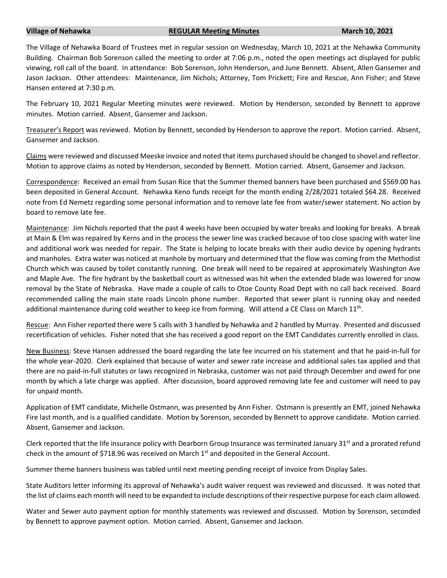## **Village of Nehawka REGULAR Meeting Minutes March 10, 2021**

The Village of Nehawka Board of Trustees met in regular session on Wednesday, March 10, 2021 at the Nehawka Community Building. Chairman Bob Sorenson called the meeting to order at 7:06 p.m., noted the open meetings act displayed for public viewing, roll call of the board. In attendance: Bob Sorenson, John Henderson, and June Bennett. Absent, Allen Gansemer and Jason Jackson. Other attendees: Maintenance, Jim Nichols; Attorney, Tom Prickett; Fire and Rescue, Ann Fisher; and Steve Hansen entered at 7:30 p.m.

The February 10, 2021 Regular Meeting minutes were reviewed. Motion by Henderson, seconded by Bennett to approve minutes. Motion carried. Absent, Gansemer and Jackson.

Treasurer's Report was reviewed. Motion by Bennett, seconded by Henderson to approve the report. Motion carried. Absent, Gansemer and Jackson.

Claims were reviewed and discussed Meeske invoice and noted that items purchased should be changed to shovel and reflector. Motion to approve claims as noted by Henderson, seconded by Bennett. Motion carried. Absent, Gansemer and Jackson.

Correspondence: Received an email from Susan Rice that the Summer themed banners have been purchased and \$569.00 has been deposited in General Account. Nehawka Keno funds receipt for the month ending 2/28/2021 totaled \$64.28. Received note from Ed Nemetz regarding some personal information and to remove late fee from water/sewer statement. No action by board to remove late fee.

Maintenance: Jim Nichols reported that the past 4 weeks have been occupied by water breaks and looking for breaks. A break at Main & Elm was repaired by Kerns and in the process the sewer line was cracked because of too close spacing with water line and additional work was needed for repair. The State is helping to locate breaks with their audio device by opening hydrants and manholes. Extra water was noticed at manhole by mortuary and determined that the flow was coming from the Methodist Church which was caused by toilet constantly running. One break will need to be repaired at approximately Washington Ave and Maple Ave. The fire hydrant by the basketball court as witnessed was hit when the extended blade was lowered for snow removal by the State of Nebraska. Have made a couple of calls to Otoe County Road Dept with no call back received. Board recommended calling the main state roads Lincoln phone number. Reported that sewer plant is running okay and needed additional maintenance during cold weather to keep ice from forming. Will attend a CE Class on March 11<sup>th</sup>.

Rescue: Ann Fisher reported there were 5 calls with 3 handled by Nehawka and 2 handled by Murray. Presented and discussed recertification of vehicles. Fisher noted that she has received a good report on the EMT Candidates currently enrolled in class.

New Business: Steve Hansen addressed the board regarding the late fee incurred on his statement and that he paid-in-full for the whole year-2020. Clerk explained that because of water and sewer rate increase and additional sales tax applied and that there are no paid-in-full statutes or laws recognized in Nebraska, customer was not paid through December and owed for one month by which a late charge was applied. After discussion, board approved removing late fee and customer will need to pay for unpaid month.

Application of EMT candidate, Michelle Ostmann, was presented by Ann Fisher. Ostmann is presently an EMT, joined Nehawka Fire last month, and is a qualified candidate. Motion by Sorenson, seconded by Bennett to approve candidate. Motion carried. Absent, Gansemer and Jackson.

Clerk reported that the life insurance policy with Dearborn Group Insurance was terminated January  $31<sup>st</sup>$  and a prorated refund check in the amount of \$718.96 was received on March 1<sup>st</sup> and deposited in the General Account.

Summer theme banners business was tabled until next meeting pending receipt of invoice from Display Sales.

State Auditors letter informing its approval of Nehawka's audit waiver request was reviewed and discussed. It was noted that the list of claims each month will need to be expanded to include descriptions of their respective purpose for each claim allowed.

Water and Sewer auto payment option for monthly statements was reviewed and discussed. Motion by Sorenson, seconded by Bennett to approve payment option. Motion carried. Absent, Gansemer and Jackson.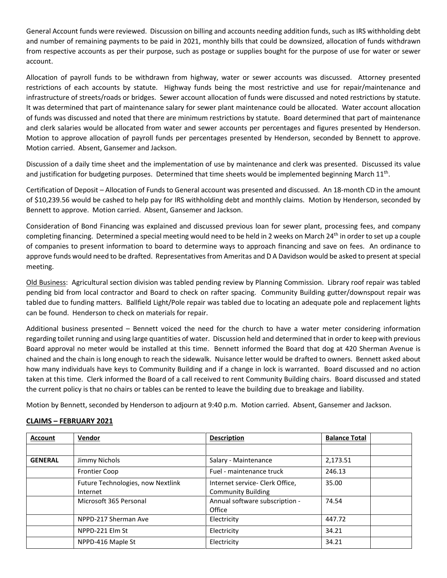General Account funds were reviewed. Discussion on billing and accounts needing addition funds, such as IRS withholding debt and number of remaining payments to be paid in 2021, monthly bills that could be downsized, allocation of funds withdrawn from respective accounts as per their purpose, such as postage or supplies bought for the purpose of use for water or sewer account.

Allocation of payroll funds to be withdrawn from highway, water or sewer accounts was discussed. Attorney presented restrictions of each accounts by statute. Highway funds being the most restrictive and use for repair/maintenance and infrastructure of streets/roads or bridges. Sewer account allocation of funds were discussed and noted restrictions by statute. It was determined that part of maintenance salary for sewer plant maintenance could be allocated. Water account allocation of funds was discussed and noted that there are minimum restrictions by statute. Board determined that part of maintenance and clerk salaries would be allocated from water and sewer accounts per percentages and figures presented by Henderson. Motion to approve allocation of payroll funds per percentages presented by Henderson, seconded by Bennett to approve. Motion carried. Absent, Gansemer and Jackson.

Discussion of a daily time sheet and the implementation of use by maintenance and clerk was presented. Discussed its value and justification for budgeting purposes. Determined that time sheets would be implemented beginning March 11<sup>th</sup>.

Certification of Deposit – Allocation of Funds to General account was presented and discussed. An 18-month CD in the amount of \$10,239.56 would be cashed to help pay for IRS withholding debt and monthly claims. Motion by Henderson, seconded by Bennett to approve. Motion carried. Absent, Gansemer and Jackson.

Consideration of Bond Financing was explained and discussed previous loan for sewer plant, processing fees, and company completing financing. Determined a special meeting would need to be held in 2 weeks on March 24<sup>th</sup> in order to set up a couple of companies to present information to board to determine ways to approach financing and save on fees. An ordinance to approve funds would need to be drafted. Representatives from Ameritas and D A Davidson would be asked to present at special meeting.

Old Business: Agricultural section division was tabled pending review by Planning Commission. Library roof repair was tabled pending bid from local contractor and Board to check on rafter spacing. Community Building gutter/downspout repair was tabled due to funding matters. Ballfield Light/Pole repair was tabled due to locating an adequate pole and replacement lights can be found. Henderson to check on materials for repair.

Additional business presented – Bennett voiced the need for the church to have a water meter considering information regarding toilet running and using large quantities of water. Discussion held and determined that in order to keep with previous Board approval no meter would be installed at this time. Bennett informed the Board that dog at 420 Sherman Avenue is chained and the chain is long enough to reach the sidewalk. Nuisance letter would be drafted to owners. Bennett asked about how many individuals have keys to Community Building and if a change in lock is warranted. Board discussed and no action taken at this time. Clerk informed the Board of a call received to rent Community Building chairs. Board discussed and stated the current policy is that no chairs or tables can be rented to leave the building due to breakage and liability.

Motion by Bennett, seconded by Henderson to adjourn at 9:40 p.m. Motion carried. Absent, Gansemer and Jackson.

## **Account Vendor Description Balance Total GENERAL** Jimmy Nichols **Salary - Maintenance** 2,173.51 Frontier Coop Fuel - maintenance truck 246.13 Future Technologies, now Nextlink Internet Internet service- Clerk Office, Community Building 35.00 Microsoft 365 Personal Annual software subscription -**Office** 74.54 NPPD-217 Sherman Ave Electricity 447.72 NPPD-221 Elm St Electricity Bettricity 34.21 NPPD-416 Maple St **Electricity 34.21**

## **CLAIMS – FEBRUARY 2021**